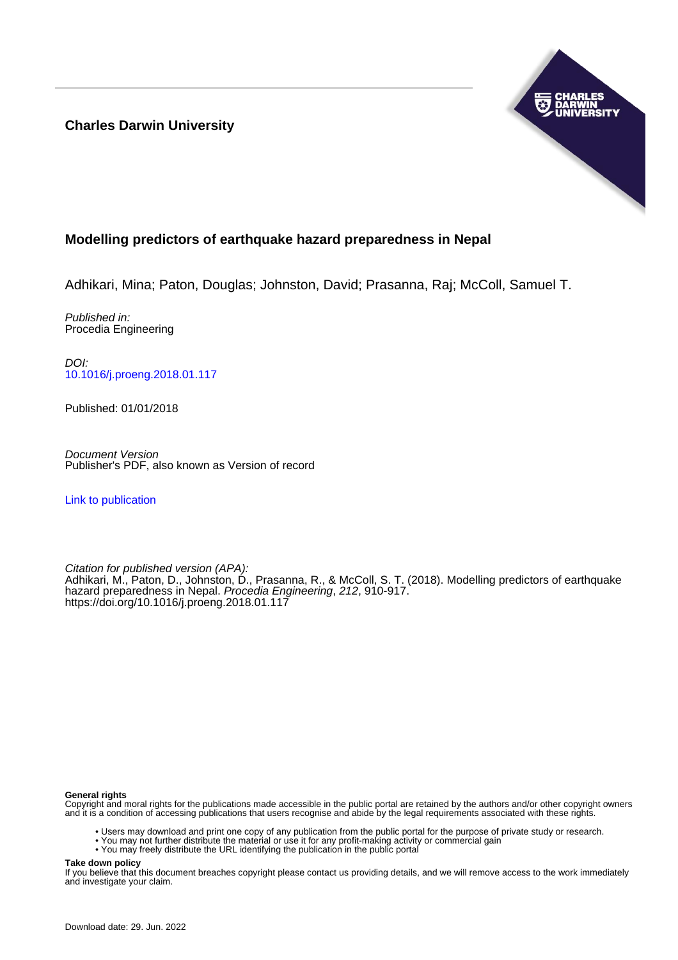**Charles Darwin University**



# **Modelling predictors of earthquake hazard preparedness in Nepal**

Adhikari, Mina; Paton, Douglas; Johnston, David; Prasanna, Raj; McColl, Samuel T.

Published in: Procedia Engineering

DOI: [10.1016/j.proeng.2018.01.117](https://doi.org/10.1016/j.proeng.2018.01.117)

Published: 01/01/2018

Document Version Publisher's PDF, also known as Version of record

[Link to publication](https://researchers.cdu.edu.au/en/publications/94f3ce56-2278-46b7-a2cf-db9a81d499e4)

Citation for published version (APA): Adhikari, M., Paton, D., Johnston, D., Prasanna, R., & McColl, S. T. (2018). Modelling predictors of earthquake hazard preparedness in Nepal. Procedia Engineering, 212, 910-917. <https://doi.org/10.1016/j.proeng.2018.01.117>

#### **General rights**

Copyright and moral rights for the publications made accessible in the public portal are retained by the authors and/or other copyright owners and it is a condition of accessing publications that users recognise and abide by the legal requirements associated with these rights.

- Users may download and print one copy of any publication from the public portal for the purpose of private study or research.
- You may not further distribute the material or use it for any profit-making activity or commercial gain
- You may freely distribute the URL identifying the publication in the public portal

**Take down policy**

If you believe that this document breaches copyright please contact us providing details, and we will remove access to the work immediately and investigate your claim.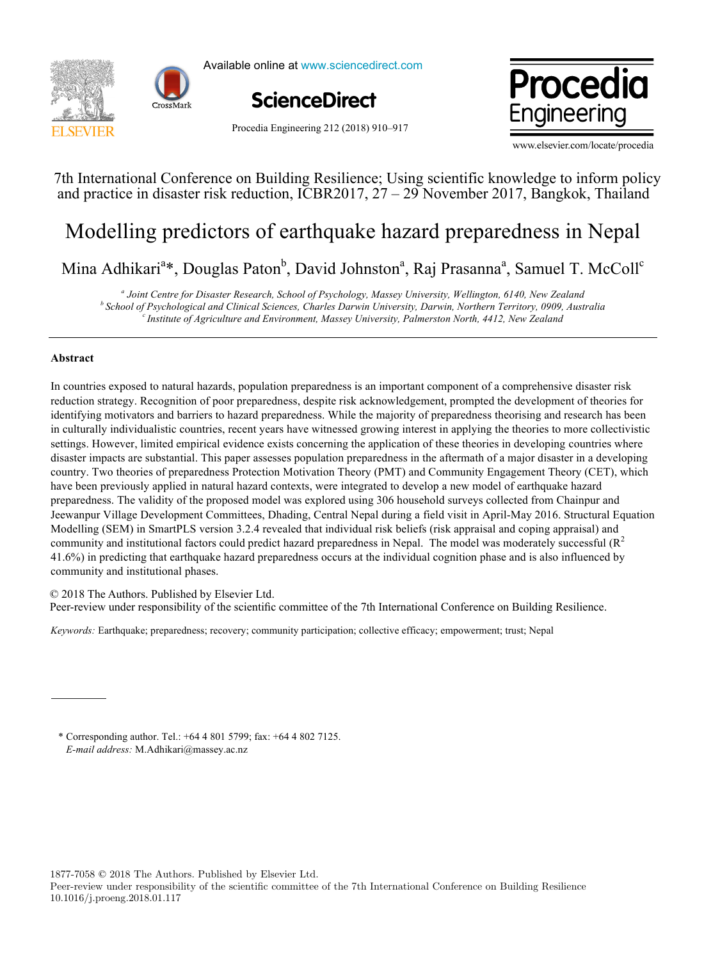



Available online at www.sciencedirect.com





Procedia Engineering 212 (2018) 910–917

www.elsevier.com/locate/procedia

# $74$  Using  $C_1$  international Conference on Building Resilience; USING  $R$  information policy policy policy policy policy policy policy policy policy policy policy policy policy policy policy policy policy policy policy 7th International Conference on Building Resilience; Using scientific knowledge to inform policy and practice in disaster risk reduction, ICBR2017, 27 – 29 November 2017, Bangkok, Thailand

# Modelling predictors of earthquake hazard preparedness in Nepal Modelling predictors of earthquake hazard preparedness in Nepal

 $M_{\text{max}}$  Adhibitaria  $\mathbf{D}_{\text{max}}$  David  $\mathbf{D}_{\text{max}}$  and  $\mathbf{D}_{\text{max}}$  and  $\mathbf{D}_{\text{max}}$  and  $\mathbf{D}_{\text{max}}$  and  $\mathbf{D}_{\text{max}}$  and  $\mathbf{D}_{\text{max}}$  and  $\mathbf{D}_{\text{max}}$  and  $\mathbf{D}_{\text{max}}$  and  $\mathbf{D}_{\text{max}}$  and  $\mathbf{D}_{\text{max}}$  and Mina Adhikari<sup>a</sup>\*, Douglas Paton<sup>b</sup>, David Johnston<sup>a</sup>, Raj Prasanna<sup>a</sup>, Samuel T. McColl<sup>e</sup>

*<sup>a</sup> Joint Centre for Disaster Research, School of Psychology, Massey University, Wellington, 6140, New Zealand* <sup>a</sup> Joint Centre for Disaster Research, School of Psychology, Massey University, Wellington, 6140, New Zealand<br>School of Psychological and Clinical Sciences, Charles Darwin University, Darwin, Northern Territory, 0909, Aus *<sup>a</sup> Joint Centre for Disaster Research, School of Psychology, Massey University, Wellington, 6140, New Zealand* <sup>b</sup> School of Psychological and Clinical Sciences, Charles Darwin University, Darwin, Northern Territory, 0909, Australia<br><sup>c</sup> Institute of Agriculture and Environment, Massey University, Palmerston North, 4412, New Zealand

# **Abstract**

In countries exposed to natural hazards, population preparedness is an important component of a comprehensive disaster risk reduction strategy. Recognition of poor preparedness, despite risk acknowledgement, prompted the development of theories for identifying motivators and barriers to hazard preparedness. While the majority of preparedness theorising and research has been in culturally individualistic countries, recent years have witnessed growing interest in applying the theories to more collectivistic settings. However, limited empirical evidence exists concerning the application of these theories in developing countries where disaster impacts are substantial. This paper assesses population preparedness in the aftermath of a major disaster in a developing country. Two theories of preparedness Protection Motivation Theory (PMT) and Community Engagement Theory (CET), which have been previously applied in natural hazard contexts, were integrated to develop a new model of earthquake hazard preparedness. The validity of the proposed model was explored using 306 household surveys collected from Chainpur and Jeewanpur Village Development Committees, Dhading, Central Nepal during a field visit in April-May 2016. Structural Equation Modelling (SEM) in SmartPLS version 3.2.4 revealed that individual risk beliefs (risk appraisal and coping appraisal) and community and institutional factors could predict hazard preparedness in Nepal. The model was moderately successful  $(R^2)$ 41.6%) in predicting that earthquake hazard preparedness occurs at the individual cognition phase and is also influenced by community and institutional phases.

© 2018 The Authors. Published by Elsevier Ltd. e 2016 The Additions. The missiled by Eisevier Edd.<br>Peer-review under responsibility of the scientific committee of the 7th International Conference on Building Resilience. Peer-review under responsibility of the scientific committee of the 7th International Conference on Building Resilience.

*Keywords:* Earthquake; preparedness; recovery; community participation; collective efficacy; empowerment; trust; Nepal

\* Corresponding author. Tel.: +64 4 801 5799; fax: +64 4 802 7125. *E-mail address:* M.Adhikari@massey.ac.nz

1877-7058 © 2018 The Authors. Published by Elsevier Ltd.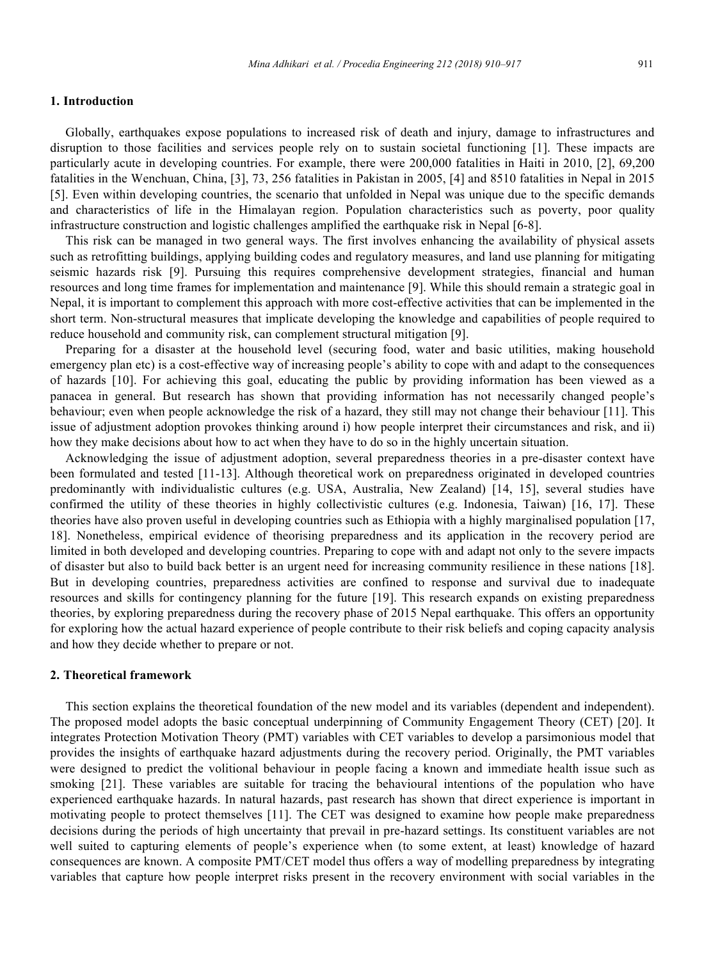#### **1. Introduction**

Globally, earthquakes expose populations to increased risk of death and injury, damage to infrastructures and disruption to those facilities and services people rely on to sustain societal functioning [1]. These impacts are particularly acute in developing countries. For example, there were 200,000 fatalities in Haiti in 2010, [2], 69,200 fatalities in the Wenchuan, China, [3], 73, 256 fatalities in Pakistan in 2005, [4] and 8510 fatalities in Nepal in 2015 [5]. Even within developing countries, the scenario that unfolded in Nepal was unique due to the specific demands and characteristics of life in the Himalayan region. Population characteristics such as poverty, poor quality infrastructure construction and logistic challenges amplified the earthquake risk in Nepal [6-8].

This risk can be managed in two general ways. The first involves enhancing the availability of physical assets such as retrofitting buildings, applying building codes and regulatory measures, and land use planning for mitigating seismic hazards risk [9]. Pursuing this requires comprehensive development strategies, financial and human resources and long time frames for implementation and maintenance [9]. While this should remain a strategic goal in Nepal, it is important to complement this approach with more cost-effective activities that can be implemented in the short term. Non-structural measures that implicate developing the knowledge and capabilities of people required to reduce household and community risk, can complement structural mitigation [9].

Preparing for a disaster at the household level (securing food, water and basic utilities, making household emergency plan etc) is a cost-effective way of increasing people's ability to cope with and adapt to the consequences of hazards [10]. For achieving this goal, educating the public by providing information has been viewed as a panacea in general. But research has shown that providing information has not necessarily changed people's behaviour; even when people acknowledge the risk of a hazard, they still may not change their behaviour [11]. This issue of adjustment adoption provokes thinking around i) how people interpret their circumstances and risk, and ii) how they make decisions about how to act when they have to do so in the highly uncertain situation.

Acknowledging the issue of adjustment adoption, several preparedness theories in a pre-disaster context have been formulated and tested [11-13]. Although theoretical work on preparedness originated in developed countries predominantly with individualistic cultures (e.g. USA, Australia, New Zealand) [14, 15], several studies have confirmed the utility of these theories in highly collectivistic cultures (e.g. Indonesia, Taiwan) [16, 17]. These theories have also proven useful in developing countries such as Ethiopia with a highly marginalised population [17, 18]. Nonetheless, empirical evidence of theorising preparedness and its application in the recovery period are limited in both developed and developing countries. Preparing to cope with and adapt not only to the severe impacts of disaster but also to build back better is an urgent need for increasing community resilience in these nations [18]. But in developing countries, preparedness activities are confined to response and survival due to inadequate resources and skills for contingency planning for the future [19]. This research expands on existing preparedness theories, by exploring preparedness during the recovery phase of 2015 Nepal earthquake. This offers an opportunity for exploring how the actual hazard experience of people contribute to their risk beliefs and coping capacity analysis and how they decide whether to prepare or not.

#### **2. Theoretical framework**

This section explains the theoretical foundation of the new model and its variables (dependent and independent). The proposed model adopts the basic conceptual underpinning of Community Engagement Theory (CET) [20]. It integrates Protection Motivation Theory (PMT) variables with CET variables to develop a parsimonious model that provides the insights of earthquake hazard adjustments during the recovery period. Originally, the PMT variables were designed to predict the volitional behaviour in people facing a known and immediate health issue such as smoking [21]. These variables are suitable for tracing the behavioural intentions of the population who have experienced earthquake hazards. In natural hazards, past research has shown that direct experience is important in motivating people to protect themselves [11]. The CET was designed to examine how people make preparedness decisions during the periods of high uncertainty that prevail in pre-hazard settings. Its constituent variables are not well suited to capturing elements of people's experience when (to some extent, at least) knowledge of hazard consequences are known. A composite PMT/CET model thus offers a way of modelling preparedness by integrating variables that capture how people interpret risks present in the recovery environment with social variables in the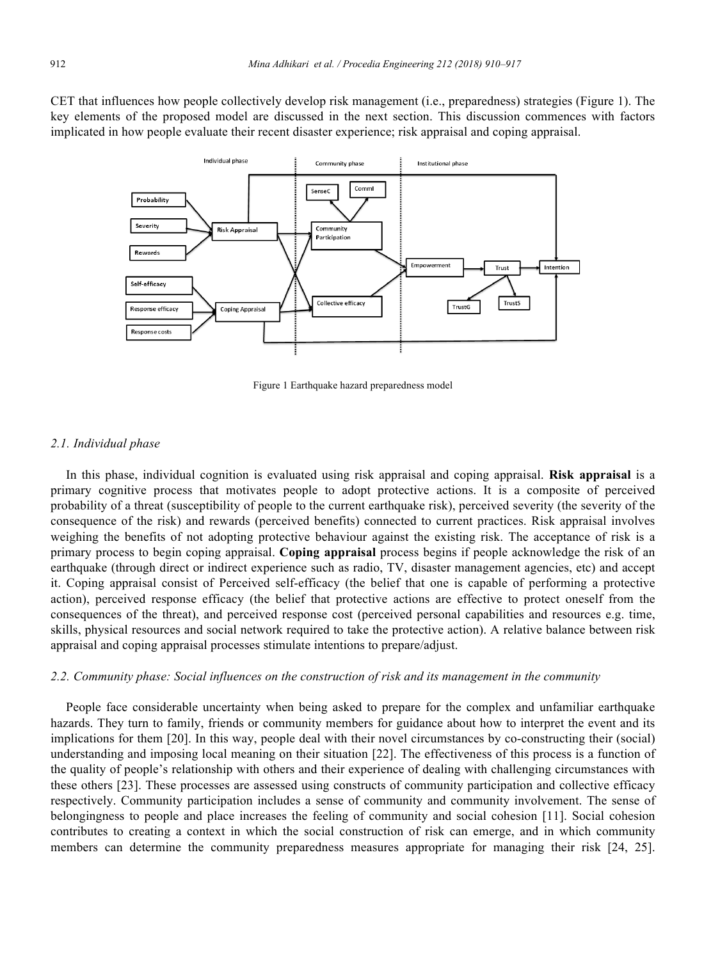CET that influences how people collectively develop risk management (i.e., preparedness) strategies (Figure 1). The key elements of the proposed model are discussed in the next section. This discussion commences with factors implicated in how people evaluate their recent disaster experience; risk appraisal and coping appraisal.



Figure 1 Earthquake hazard preparedness model

#### *2.1. Individual phase*

In this phase, individual cognition is evaluated using risk appraisal and coping appraisal. **Risk appraisal** is a primary cognitive process that motivates people to adopt protective actions. It is a composite of perceived probability of a threat (susceptibility of people to the current earthquake risk), perceived severity (the severity of the consequence of the risk) and rewards (perceived benefits) connected to current practices. Risk appraisal involves weighing the benefits of not adopting protective behaviour against the existing risk. The acceptance of risk is a primary process to begin coping appraisal. **Coping appraisal** process begins if people acknowledge the risk of an earthquake (through direct or indirect experience such as radio, TV, disaster management agencies, etc) and accept it. Coping appraisal consist of Perceived self-efficacy (the belief that one is capable of performing a protective action), perceived response efficacy (the belief that protective actions are effective to protect oneself from the consequences of the threat), and perceived response cost (perceived personal capabilities and resources e.g. time, skills, physical resources and social network required to take the protective action). A relative balance between risk appraisal and coping appraisal processes stimulate intentions to prepare/adjust.

# *2.2. Community phase: Social influences on the construction of risk and its management in the community*

People face considerable uncertainty when being asked to prepare for the complex and unfamiliar earthquake hazards. They turn to family, friends or community members for guidance about how to interpret the event and its implications for them [20]. In this way, people deal with their novel circumstances by co-constructing their (social) understanding and imposing local meaning on their situation [22]. The effectiveness of this process is a function of the quality of people's relationship with others and their experience of dealing with challenging circumstances with these others [23]. These processes are assessed using constructs of community participation and collective efficacy respectively. Community participation includes a sense of community and community involvement. The sense of belongingness to people and place increases the feeling of community and social cohesion [11]. Social cohesion contributes to creating a context in which the social construction of risk can emerge, and in which community members can determine the community preparedness measures appropriate for managing their risk [24, 25].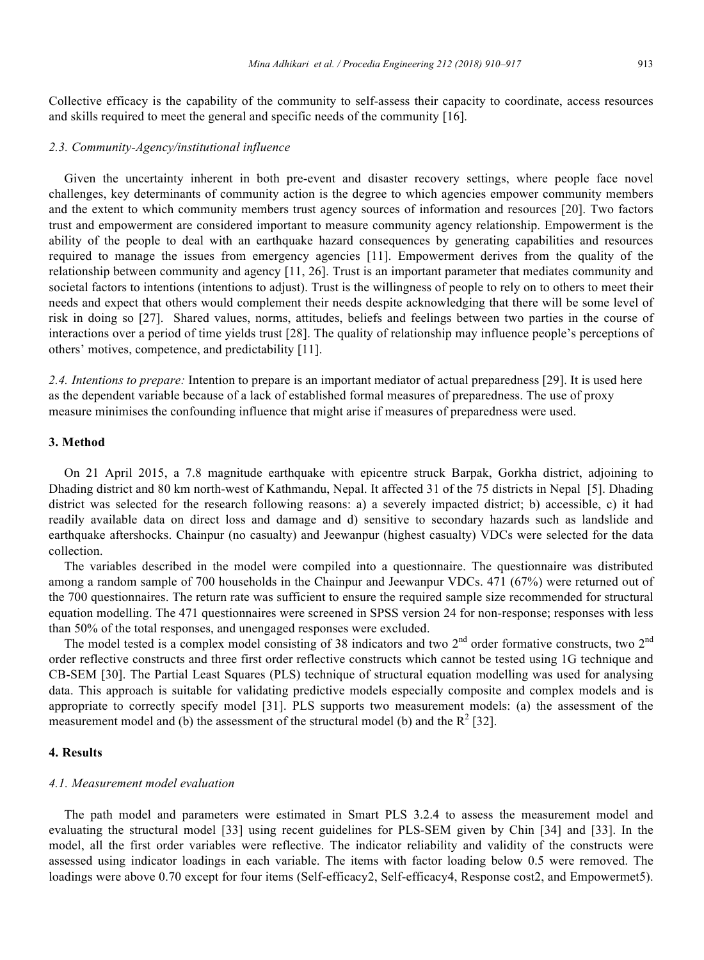Collective efficacy is the capability of the community to self-assess their capacity to coordinate, access resources and skills required to meet the general and specific needs of the community [16].

## *2.3. Community-Agency/institutional influence*

Given the uncertainty inherent in both pre-event and disaster recovery settings, where people face novel challenges, key determinants of community action is the degree to which agencies empower community members and the extent to which community members trust agency sources of information and resources [20]. Two factors trust and empowerment are considered important to measure community agency relationship. Empowerment is the ability of the people to deal with an earthquake hazard consequences by generating capabilities and resources required to manage the issues from emergency agencies [11]. Empowerment derives from the quality of the relationship between community and agency [11, 26]. Trust is an important parameter that mediates community and societal factors to intentions (intentions to adjust). Trust is the willingness of people to rely on to others to meet their needs and expect that others would complement their needs despite acknowledging that there will be some level of risk in doing so [27]. Shared values, norms, attitudes, beliefs and feelings between two parties in the course of interactions over a period of time yields trust [28]. The quality of relationship may influence people's perceptions of others' motives, competence, and predictability [11].

*2.4. Intentions to prepare:* Intention to prepare is an important mediator of actual preparedness [29]. It is used here as the dependent variable because of a lack of established formal measures of preparedness. The use of proxy measure minimises the confounding influence that might arise if measures of preparedness were used.

# **3. Method**

On 21 April 2015, a 7.8 magnitude earthquake with epicentre struck Barpak, Gorkha district, adjoining to Dhading district and 80 km north-west of Kathmandu, Nepal. It affected 31 of the 75 districts in Nepal [5]. Dhading district was selected for the research following reasons: a) a severely impacted district; b) accessible, c) it had readily available data on direct loss and damage and d) sensitive to secondary hazards such as landslide and earthquake aftershocks. Chainpur (no casualty) and Jeewanpur (highest casualty) VDCs were selected for the data collection.

The variables described in the model were compiled into a questionnaire. The questionnaire was distributed among a random sample of 700 households in the Chainpur and Jeewanpur VDCs. 471 (67%) were returned out of the 700 questionnaires. The return rate was sufficient to ensure the required sample size recommended for structural equation modelling. The 471 questionnaires were screened in SPSS version 24 for non-response; responses with less than 50% of the total responses, and unengaged responses were excluded.

The model tested is a complex model consisting of 38 indicators and two 2<sup>nd</sup> order formative constructs, two 2<sup>nd</sup> order reflective constructs and three first order reflective constructs which cannot be tested using 1G technique and CB-SEM [30]. The Partial Least Squares (PLS) technique of structural equation modelling was used for analysing data. This approach is suitable for validating predictive models especially composite and complex models and is appropriate to correctly specify model [31]. PLS supports two measurement models: (a) the assessment of the measurement model and (b) the assessment of the structural model (b) and the  $R^2$  [32].

# **4. Results**

#### *4.1. Measurement model evaluation*

The path model and parameters were estimated in Smart PLS 3.2.4 to assess the measurement model and evaluating the structural model [33] using recent guidelines for PLS-SEM given by Chin [34] and [33]. In the model, all the first order variables were reflective. The indicator reliability and validity of the constructs were assessed using indicator loadings in each variable. The items with factor loading below 0.5 were removed. The loadings were above 0.70 except for four items (Self-efficacy2, Self-efficacy4, Response cost2, and Empowermet5).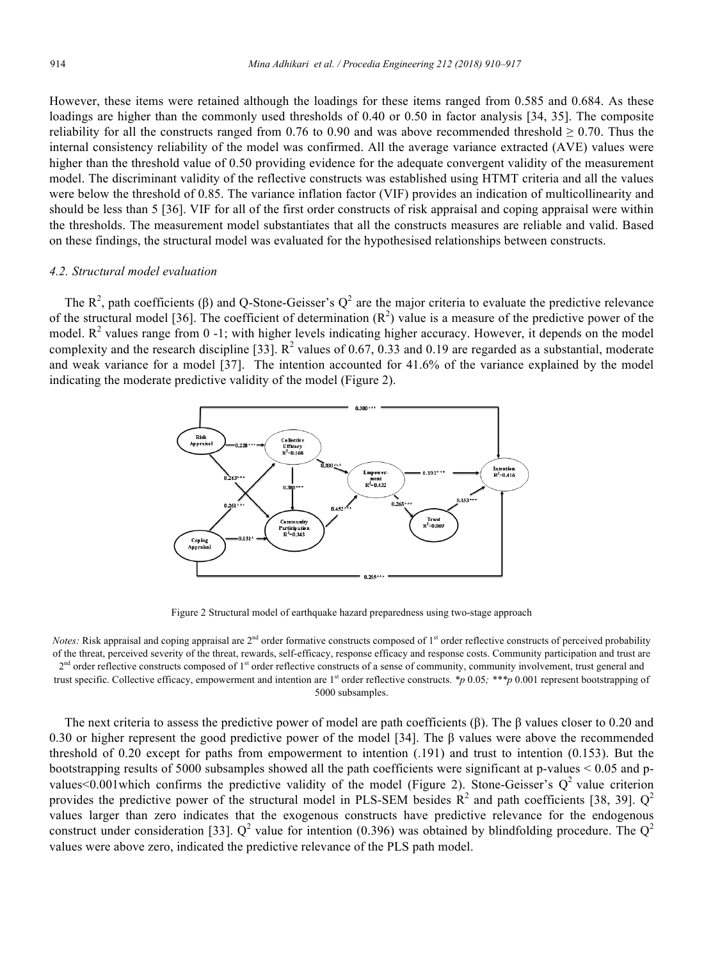However, these items were retained although the loadings for these items ranged from 0.585 and 0.684. As these loadings are higher than the commonly used thresholds of 0.40 or 0.50 in factor analysis [34, 35]. The composite reliability for all the constructs ranged from 0.76 to 0.90 and was above recommended threshold  $\geq$  0.70. Thus the internal consistency reliability of the model was confirmed. All the average variance extracted (AVE) values were higher than the threshold value of 0.50 providing evidence for the adequate convergent validity of the measurement model. The discriminant validity of the reflective constructs was established using HTMT criteria and all the values were below the threshold of 0.85. The variance inflation factor (VIF) provides an indication of multicollinearity and should be less than 5 [36]. VIF for all of the first order constructs of risk appraisal and coping appraisal were within the thresholds. The measurement model substantiates that all the constructs measures are reliable and valid. Based on these findings, the structural model was evaluated for the hypothesised relationships between constructs.

#### *4.2. Structural model evaluation*

The  $R^2$ , path coefficients ( $\beta$ ) and Q-Stone-Geisser's  $Q^2$  are the major criteria to evaluate the predictive relevance of the structural model [36]. The coefficient of determination  $(R^2)$  value is a measure of the predictive power of the model.  $R^2$  values range from 0 -1; with higher levels indicating higher accuracy. However, it depends on the model complexity and the research discipline [33].  $R^2$  values of 0.67, 0.33 and 0.19 are regarded as a substantial, moderate and weak variance for a model [37]. The intention accounted for 41.6% of the variance explained by the model indicating the moderate predictive validity of the model (Figure 2).



Figure 2 Structural model of earthquake hazard preparedness using two-stage approach

*Notes:* Risk appraisal and coping appraisal are 2<sup>nd</sup> order formative constructs composed of 1<sup>st</sup> order reflective constructs of perceived probability of the threat, perceived severity of the threat, rewards, self-efficacy, response efficacy and response costs. Community participation and trust are 2<sup>nd</sup> order reflective constructs composed of 1<sup>st</sup> order reflective constructs of a sense of community, community involvement, trust general and trust specific. Collective efficacy, empowerment and intention are 1<sup>st</sup> order reflective constructs. *\*p* 0.05; \*\*\**p* 0.001 represent bootstrapping of 5000 subsamples.

The next criteria to assess the predictive power of model are path coefficients (β). The β values closer to 0.20 and 0.30 or higher represent the good predictive power of the model [34]. The  $\beta$  values were above the recommended threshold of 0.20 except for paths from empowerment to intention (.191) and trust to intention (0.153). But the bootstrapping results of 5000 subsamples showed all the path coefficients were significant at p-values < 0.05 and pvalues<0.001 which confirms the predictive validity of the model (Figure 2). Stone-Geisser's  $Q^2$  value criterion provides the predictive power of the structural model in PLS-SEM besides  $R^2$  and path coefficients [38, 39].  $Q^2$ values larger than zero indicates that the exogenous constructs have predictive relevance for the endogenous construct under consideration [33].  $Q^2$  value for intention (0.396) was obtained by blindfolding procedure. The  $Q^2$ values were above zero, indicated the predictive relevance of the PLS path model.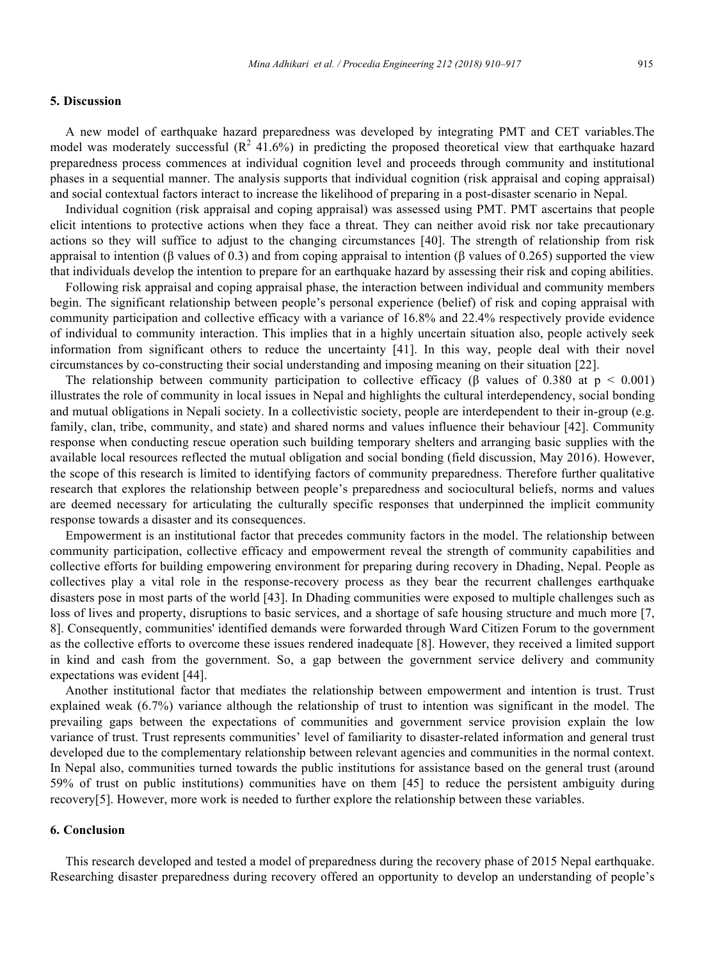## **5. Discussion**

A new model of earthquake hazard preparedness was developed by integrating PMT and CET variables.The model was moderately successful  $(R^2 41.6\%)$  in predicting the proposed theoretical view that earthquake hazard preparedness process commences at individual cognition level and proceeds through community and institutional phases in a sequential manner. The analysis supports that individual cognition (risk appraisal and coping appraisal) and social contextual factors interact to increase the likelihood of preparing in a post-disaster scenario in Nepal.

Individual cognition (risk appraisal and coping appraisal) was assessed using PMT. PMT ascertains that people elicit intentions to protective actions when they face a threat. They can neither avoid risk nor take precautionary actions so they will suffice to adjust to the changing circumstances [40]. The strength of relationship from risk appraisal to intention (β values of 0.3) and from coping appraisal to intention (β values of 0.265) supported the view that individuals develop the intention to prepare for an earthquake hazard by assessing their risk and coping abilities.

Following risk appraisal and coping appraisal phase, the interaction between individual and community members begin. The significant relationship between people's personal experience (belief) of risk and coping appraisal with community participation and collective efficacy with a variance of 16.8% and 22.4% respectively provide evidence of individual to community interaction. This implies that in a highly uncertain situation also, people actively seek information from significant others to reduce the uncertainty [41]. In this way, people deal with their novel circumstances by co-constructing their social understanding and imposing meaning on their situation [22].

The relationship between community participation to collective efficacy ( $\beta$  values of 0.380 at  $p \le 0.001$ ) illustrates the role of community in local issues in Nepal and highlights the cultural interdependency, social bonding and mutual obligations in Nepali society. In a collectivistic society, people are interdependent to their in-group (e.g. family, clan, tribe, community, and state) and shared norms and values influence their behaviour [42]. Community response when conducting rescue operation such building temporary shelters and arranging basic supplies with the available local resources reflected the mutual obligation and social bonding (field discussion, May 2016). However, the scope of this research is limited to identifying factors of community preparedness. Therefore further qualitative research that explores the relationship between people's preparedness and sociocultural beliefs, norms and values are deemed necessary for articulating the culturally specific responses that underpinned the implicit community response towards a disaster and its consequences.

Empowerment is an institutional factor that precedes community factors in the model. The relationship between community participation, collective efficacy and empowerment reveal the strength of community capabilities and collective efforts for building empowering environment for preparing during recovery in Dhading, Nepal. People as collectives play a vital role in the response-recovery process as they bear the recurrent challenges earthquake disasters pose in most parts of the world [43]. In Dhading communities were exposed to multiple challenges such as loss of lives and property, disruptions to basic services, and a shortage of safe housing structure and much more [7, 8]. Consequently, communities' identified demands were forwarded through Ward Citizen Forum to the government as the collective efforts to overcome these issues rendered inadequate [8]. However, they received a limited support in kind and cash from the government. So, a gap between the government service delivery and community expectations was evident [44].

Another institutional factor that mediates the relationship between empowerment and intention is trust. Trust explained weak (6.7%) variance although the relationship of trust to intention was significant in the model. The prevailing gaps between the expectations of communities and government service provision explain the low variance of trust. Trust represents communities' level of familiarity to disaster-related information and general trust developed due to the complementary relationship between relevant agencies and communities in the normal context. In Nepal also, communities turned towards the public institutions for assistance based on the general trust (around 59% of trust on public institutions) communities have on them [45] to reduce the persistent ambiguity during recovery[5]. However, more work is needed to further explore the relationship between these variables.

#### **6. Conclusion**

This research developed and tested a model of preparedness during the recovery phase of 2015 Nepal earthquake. Researching disaster preparedness during recovery offered an opportunity to develop an understanding of people's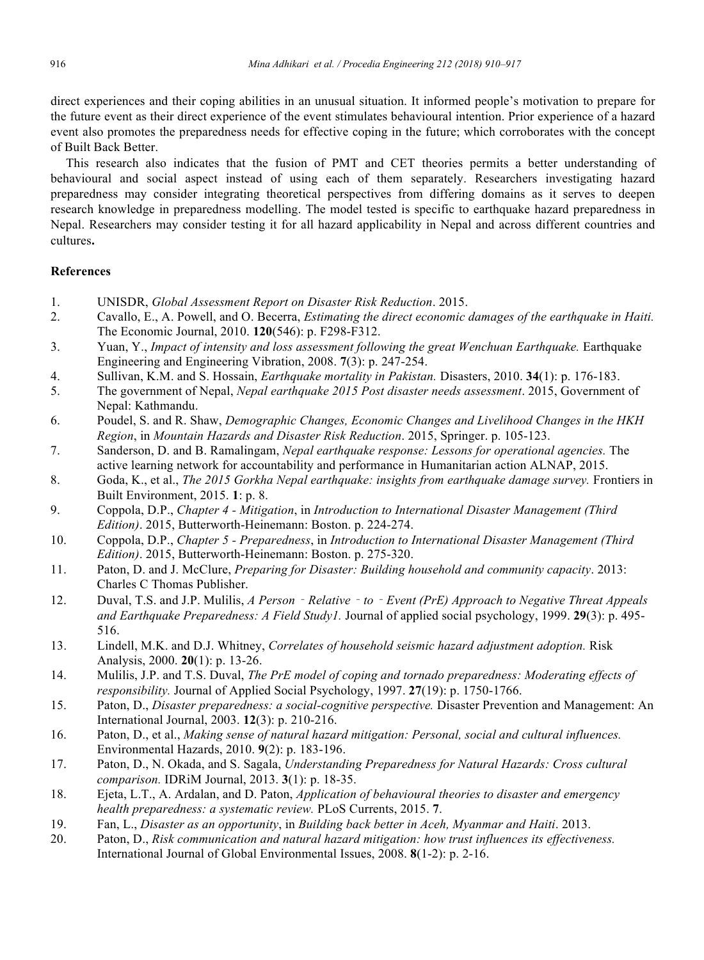direct experiences and their coping abilities in an unusual situation. It informed people's motivation to prepare for the future event as their direct experience of the event stimulates behavioural intention. Prior experience of a hazard event also promotes the preparedness needs for effective coping in the future; which corroborates with the concept of Built Back Better.

This research also indicates that the fusion of PMT and CET theories permits a better understanding of behavioural and social aspect instead of using each of them separately. Researchers investigating hazard preparedness may consider integrating theoretical perspectives from differing domains as it serves to deepen research knowledge in preparedness modelling. The model tested is specific to earthquake hazard preparedness in Nepal. Researchers may consider testing it for all hazard applicability in Nepal and across different countries and cultures**.** 

# **References**

- 1. UNISDR, *Global Assessment Report on Disaster Risk Reduction*. 2015.
- 2. Cavallo, E., A. Powell, and O. Becerra, *Estimating the direct economic damages of the earthquake in Haiti.* The Economic Journal, 2010. **120**(546): p. F298-F312.
- 3. Yuan, Y., *Impact of intensity and loss assessment following the great Wenchuan Earthquake.* Earthquake Engineering and Engineering Vibration, 2008. **7**(3): p. 247-254.
- 4. Sullivan, K.M. and S. Hossain, *Earthquake mortality in Pakistan.* Disasters, 2010. **34**(1): p. 176-183.
- 5. The government of Nepal, *Nepal earthquake 2015 Post disaster needs assessment*. 2015, Government of Nepal: Kathmandu.
- 6. Poudel, S. and R. Shaw, *Demographic Changes, Economic Changes and Livelihood Changes in the HKH Region*, in *Mountain Hazards and Disaster Risk Reduction*. 2015, Springer. p. 105-123.
- 7. Sanderson, D. and B. Ramalingam, *Nepal earthquake response: Lessons for operational agencies.* The active learning network for accountability and performance in Humanitarian action ALNAP, 2015.
- 8. Goda, K., et al., *The 2015 Gorkha Nepal earthquake: insights from earthquake damage survey.* Frontiers in Built Environment, 2015. **1**: p. 8.
- 9. Coppola, D.P., *Chapter 4 - Mitigation*, in *Introduction to International Disaster Management (Third Edition)*. 2015, Butterworth-Heinemann: Boston. p. 224-274.
- 10. Coppola, D.P., *Chapter 5 - Preparedness*, in *Introduction to International Disaster Management (Third Edition)*. 2015, Butterworth-Heinemann: Boston. p. 275-320.
- 11. Paton, D. and J. McClure, *Preparing for Disaster: Building household and community capacity*. 2013: Charles C Thomas Publisher.
- 12. Duval, T.S. and J.P. Mulilis, *A Person*‐*Relative*‐*to*‐*Event (PrE) Approach to Negative Threat Appeals and Earthquake Preparedness: A Field Study1.* Journal of applied social psychology, 1999. **29**(3): p. 495- 516.
- 13. Lindell, M.K. and D.J. Whitney, *Correlates of household seismic hazard adjustment adoption.* Risk Analysis, 2000. **20**(1): p. 13-26.
- 14. Mulilis, J.P. and T.S. Duval, *The PrE model of coping and tornado preparedness: Moderating effects of responsibility.* Journal of Applied Social Psychology, 1997. **27**(19): p. 1750-1766.
- 15. Paton, D., *Disaster preparedness: a social-cognitive perspective.* Disaster Prevention and Management: An International Journal, 2003. **12**(3): p. 210-216.
- 16. Paton, D., et al., *Making sense of natural hazard mitigation: Personal, social and cultural influences.* Environmental Hazards, 2010. **9**(2): p. 183-196.
- 17. Paton, D., N. Okada, and S. Sagala, *Understanding Preparedness for Natural Hazards: Cross cultural comparison.* IDRiM Journal, 2013. **3**(1): p. 18-35.
- 18. Ejeta, L.T., A. Ardalan, and D. Paton, *Application of behavioural theories to disaster and emergency health preparedness: a systematic review.* PLoS Currents, 2015. **7**.
- 19. Fan, L., *Disaster as an opportunity*, in *Building back better in Aceh, Myanmar and Haiti*. 2013.
- 20. Paton, D., *Risk communication and natural hazard mitigation: how trust influences its effectiveness.* International Journal of Global Environmental Issues, 2008. **8**(1-2): p. 2-16.